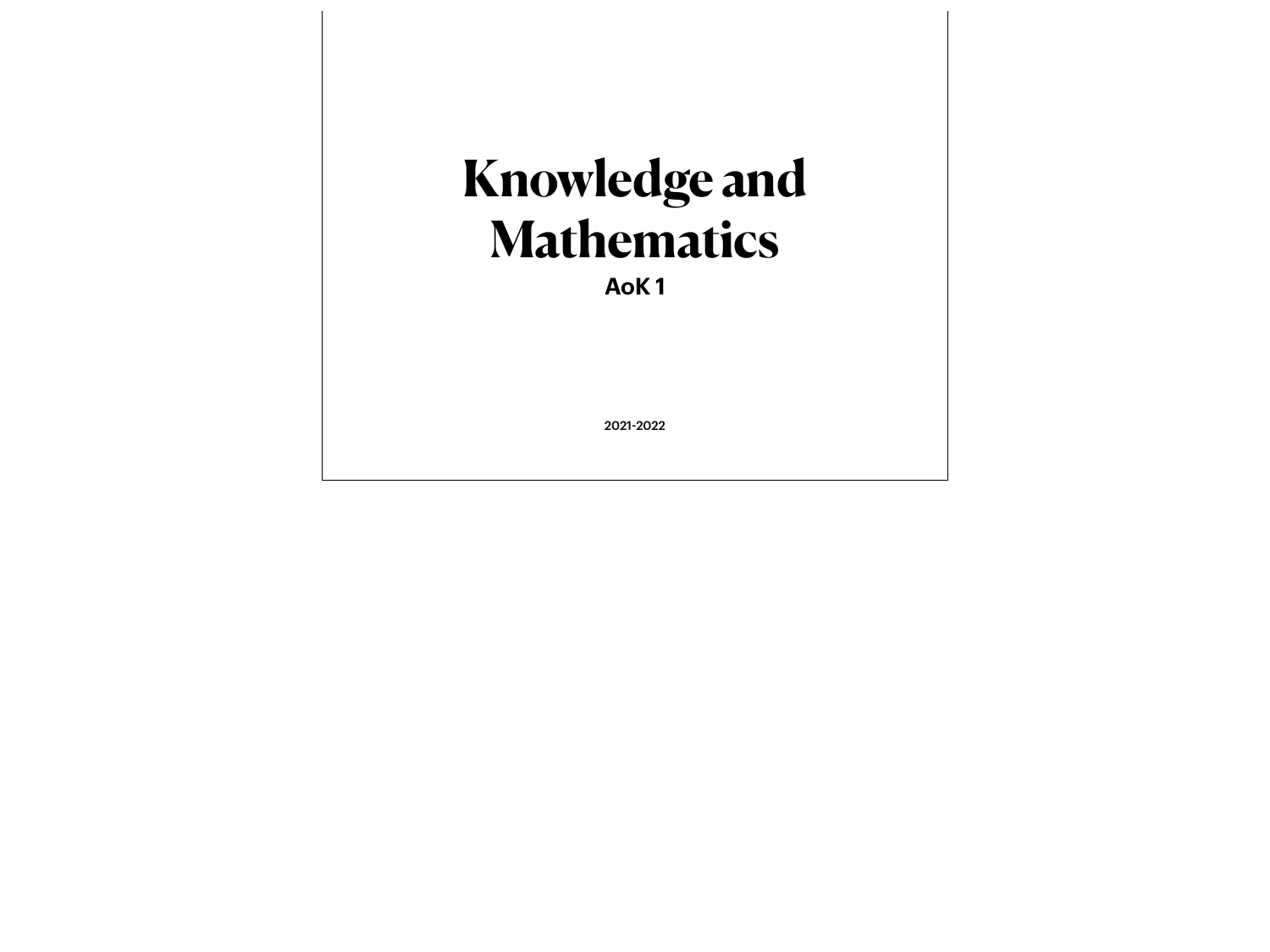# **Knowledge and Mathematics**

**AoK 1**

2021-2022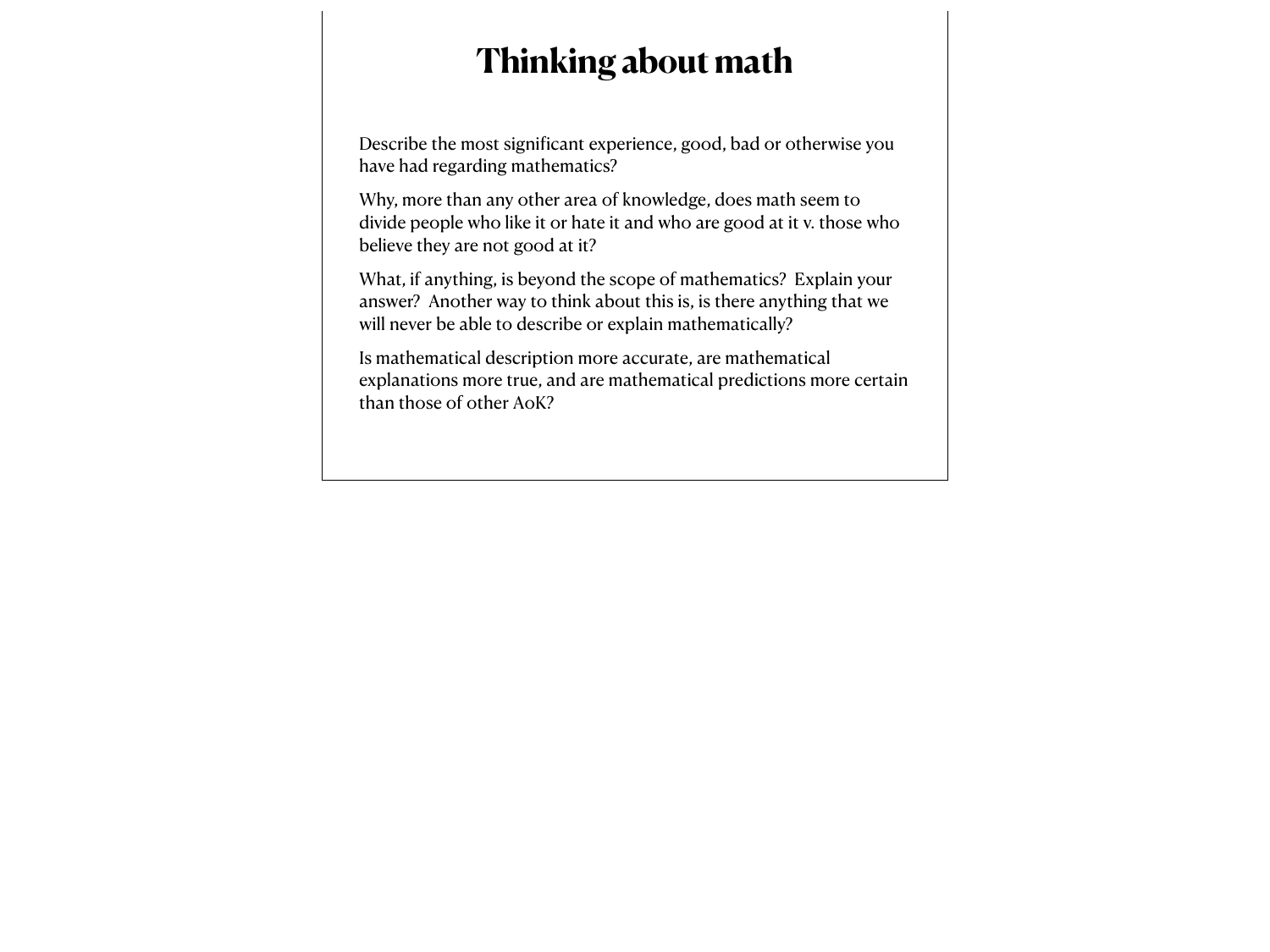# **Thinking about math**

Describe the most significant experience, good, bad or otherwise you have had regarding mathematics?

Why, more than any other area of knowledge, does math seem to divide people who like it or hate it and who are good at it v. those who believe they are not good at it?

What, if anything, is beyond the scope of mathematics? Explain your answer? Another way to think about this is, is there anything that we will never be able to describe or explain mathematically?

Is mathematical description more accurate, are mathematical explanations more true, and are mathematical predictions more certain than those of other AoK?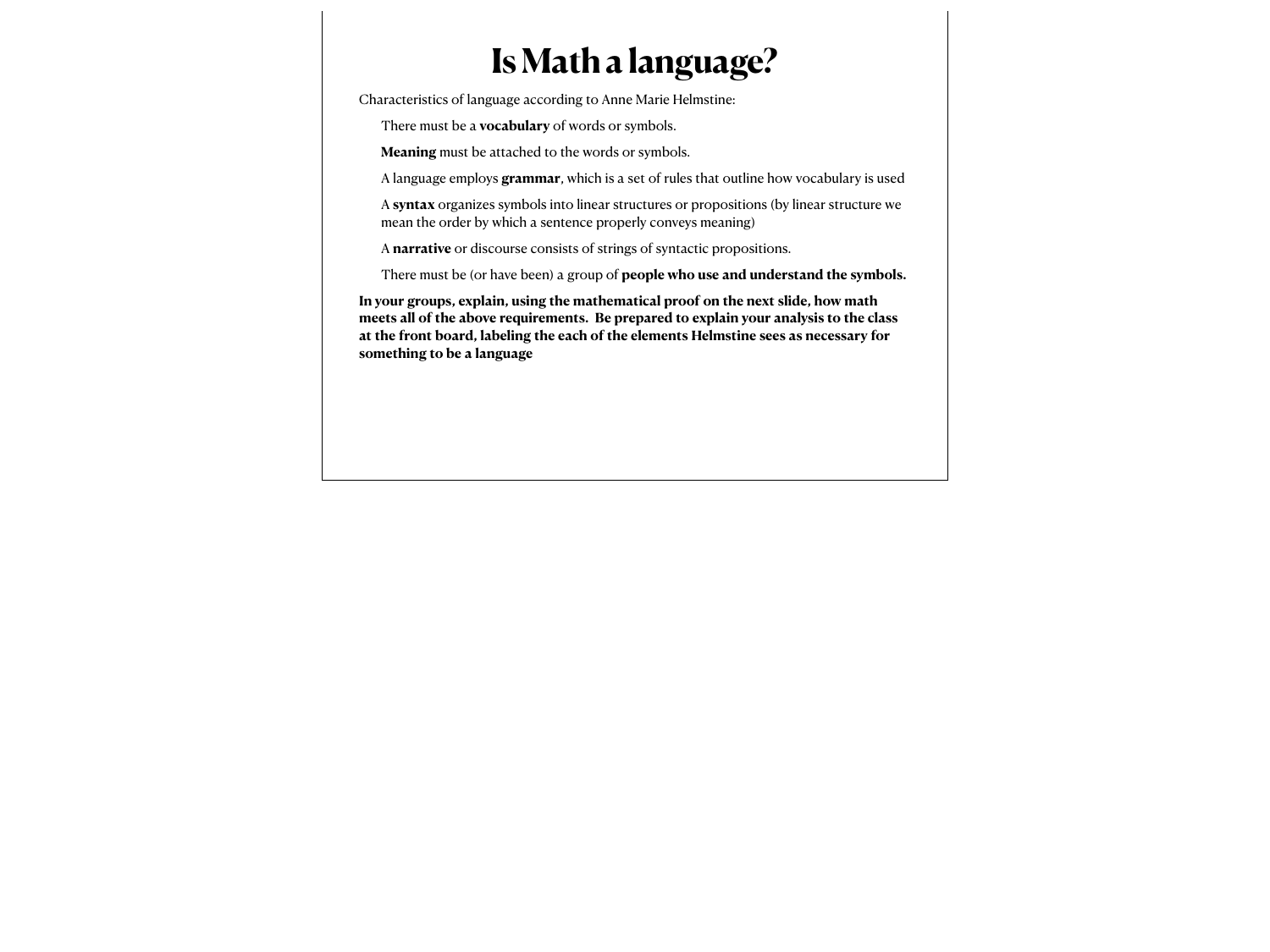### **Is Math a language?**

Characteristics of language according to Anne Marie Helmstine:

There must be a **vocabulary** of words or symbols.

**Meaning** must be attached to the words or symbols.

A language employs **grammar**, which is a set of rules that outline how vocabulary is used

A **syntax** organizes symbols into linear structures or propositions (by linear structure we mean the order by which a sentence properly conveys meaning)

A **narrative** or discourse consists of strings of syntactic propositions.

There must be (or have been) a group of **people who use and understand the symbols.**

**In your groups, explain, using the mathematical proof on the next slide, how math meets all of the above requirements. Be prepared to explain your analysis to the class at the front board, labeling the each of the elements Helmstine sees as necessary for something to be a language**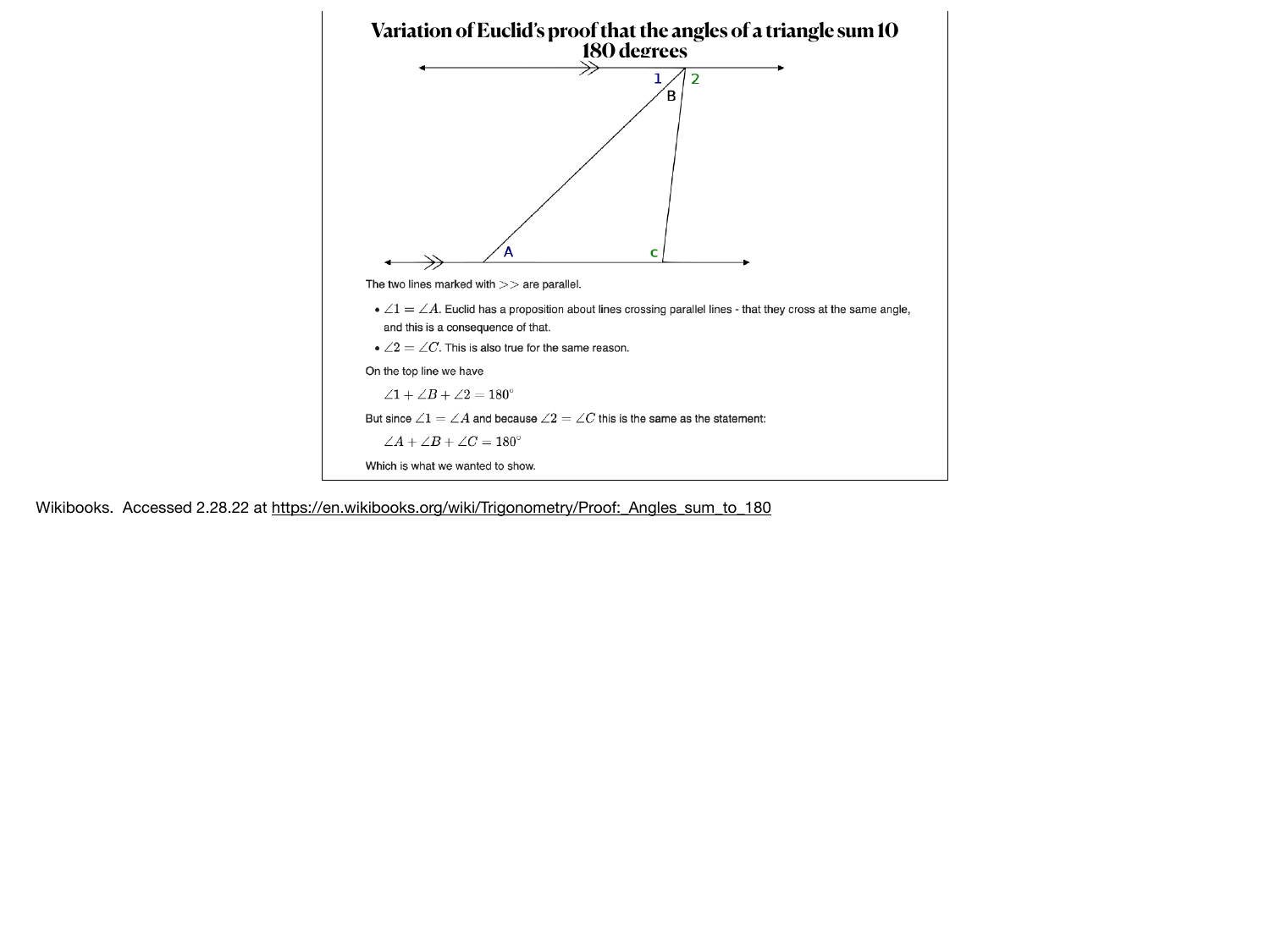

Wikibooks. Accessed 2.28.22 at https://en.wikibooks.org/wiki/Trigonometry/Proof: Angles sum to 180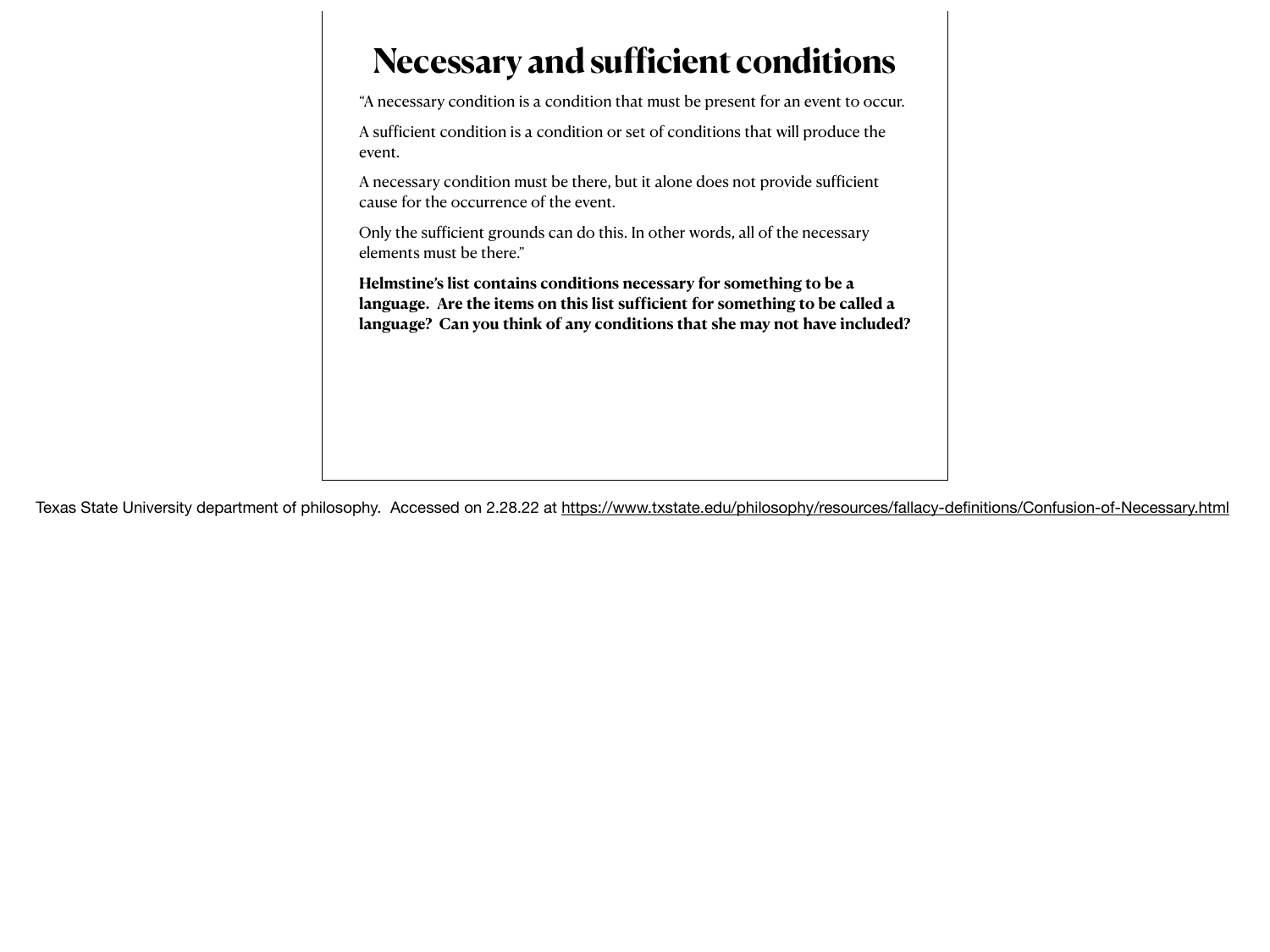# **Necessary and sufficient conditions**

"A necessary condition is a condition that must be present for an event to occur.

A sufficient condition is a condition or set of conditions that will produce the event.

A necessary condition must be there, but it alone does not provide sufficient cause for the occurrence of the event.

Only the sufficient grounds can do this. In other words, all of the necessary elements must be there."

**Helmstine's list contains conditions necessary for something to be a language. Are the items on this list sufficient for something to be called a language? Can you think of any conditions that she may not have included?**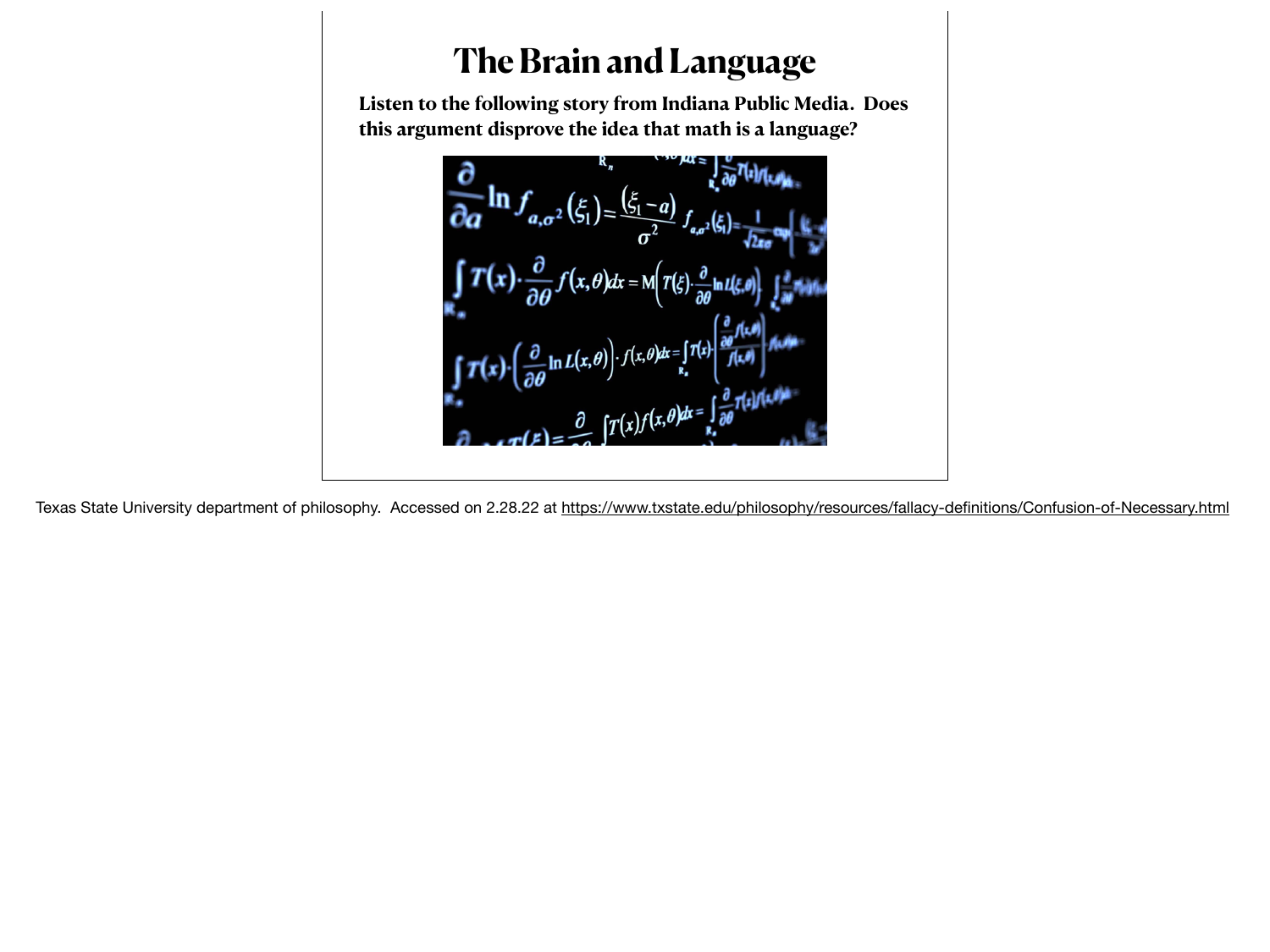# **The Brain and Language**

**Listen to the following story from Indiana Public Media. Does this argument disprove the idea that math is a language?**

 $\int_{R_{\bullet}} T(x) \cdot \left( \frac{\partial}{\partial \theta} \ln L(x, \theta) \right) \cdot f(x, \theta) dx = \int_{R_{\bullet}} T(x) \cdot \left( \frac{\partial}{\partial \theta} \ln L(x, \theta) \right) \cdot f(x, \theta) dx = \int_{R_{\bullet}} T(x) \cdot f(x) dx = \int_{R_{\bullet}} T(x) \cdot f(x) dx = \int_{R_{\bullet}} T(x) dx$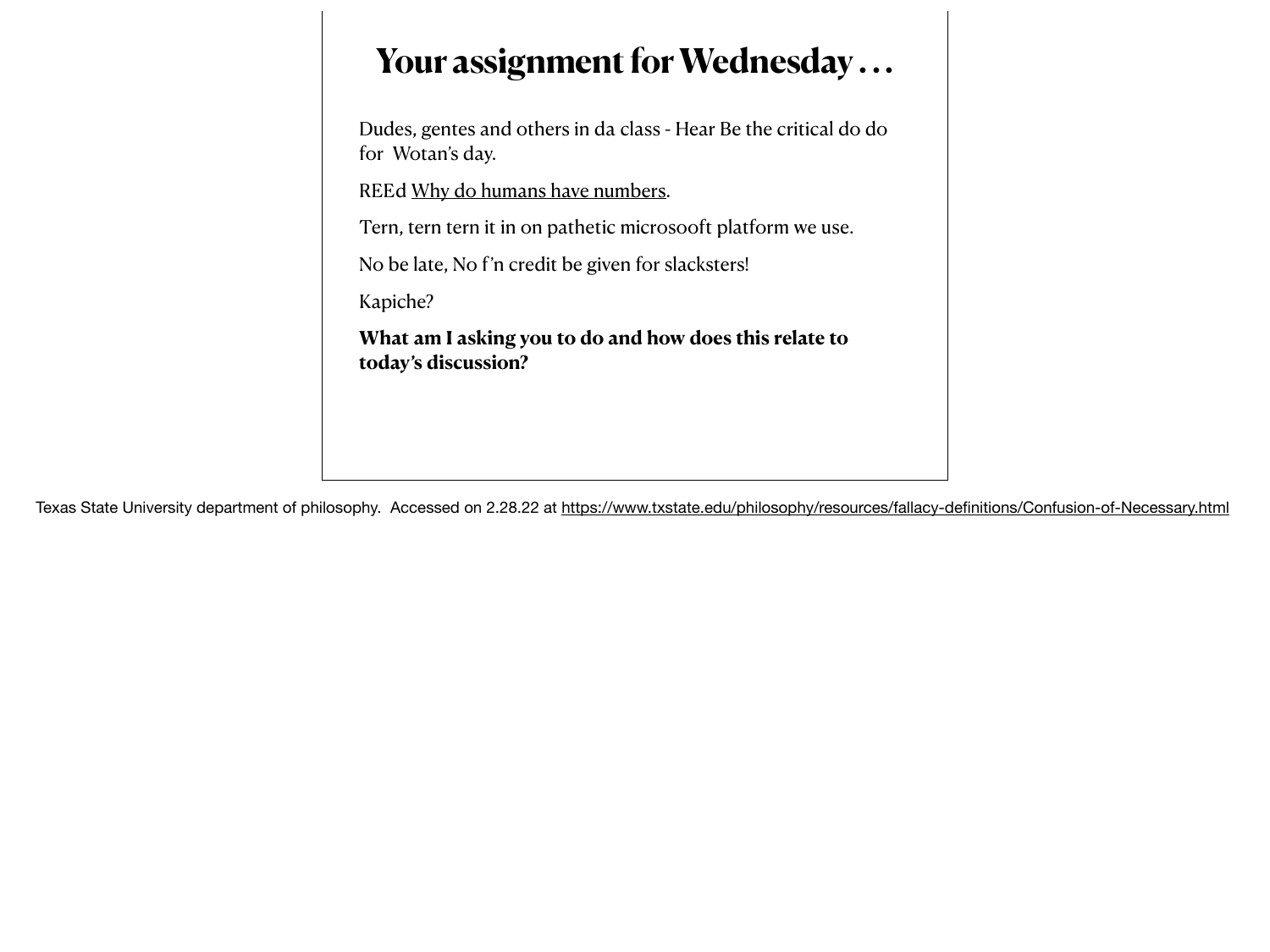# **Your assignment for Wednesday . . .**

Dudes, gentes and others in da class - Hear Be the critical do do for Wotan's day.

REEd [Why do humans have numbers](https://dhaydock.org/2021-2022/ToK%2011/Knoweldge%20and%20mathematics/ToK%2011%20-%20Why%20do%20Humans%20Have%20Numbers,%202122.pdf).

Tern, tern tern it in on pathetic microsooft platform we use.

No be late, No f'n credit be given for slacksters!

Kapiche?

**What am I asking you to do and how does this relate to today's discussion?**